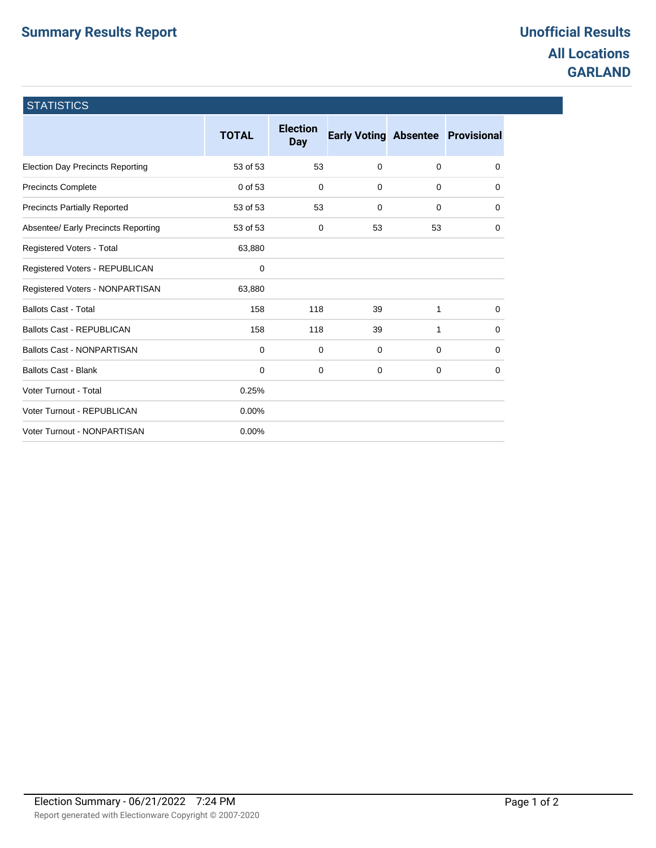## **Summary Results Report Construction Construction Construction Construction Construction Construction Construction**

## **All Locations GARLAND**

| <b>STATISTICS</b>                       |              |                               |                                          |             |   |
|-----------------------------------------|--------------|-------------------------------|------------------------------------------|-------------|---|
|                                         | <b>TOTAL</b> | <b>Election</b><br><b>Day</b> | <b>Early Voting Absentee Provisional</b> |             |   |
| <b>Election Day Precincts Reporting</b> | 53 of 53     | 53                            | $\mathbf 0$                              | 0           | 0 |
| Precincts Complete                      | 0 of 53      | $\mathbf 0$                   | $\mathbf 0$                              | $\mathbf 0$ | 0 |
| <b>Precincts Partially Reported</b>     | 53 of 53     | 53                            | $\mathbf 0$                              | $\mathbf 0$ | 0 |
| Absentee/ Early Precincts Reporting     | 53 of 53     | 0                             | 53                                       | 53          | 0 |
| Registered Voters - Total               | 63,880       |                               |                                          |             |   |
| Registered Voters - REPUBLICAN          | 0            |                               |                                          |             |   |
| Registered Voters - NONPARTISAN         | 63,880       |                               |                                          |             |   |
| <b>Ballots Cast - Total</b>             | 158          | 118                           | 39                                       | 1           | 0 |
| <b>Ballots Cast - REPUBLICAN</b>        | 158          | 118                           | 39                                       | 1           | 0 |
| <b>Ballots Cast - NONPARTISAN</b>       | $\Omega$     | 0                             | 0                                        | $\Omega$    | 0 |
| <b>Ballots Cast - Blank</b>             | $\mathbf 0$  | 0                             | 0                                        | 0           | 0 |
| Voter Turnout - Total                   | 0.25%        |                               |                                          |             |   |
| Voter Turnout - REPUBLICAN              | 0.00%        |                               |                                          |             |   |
| Voter Turnout - NONPARTISAN             | 0.00%        |                               |                                          |             |   |